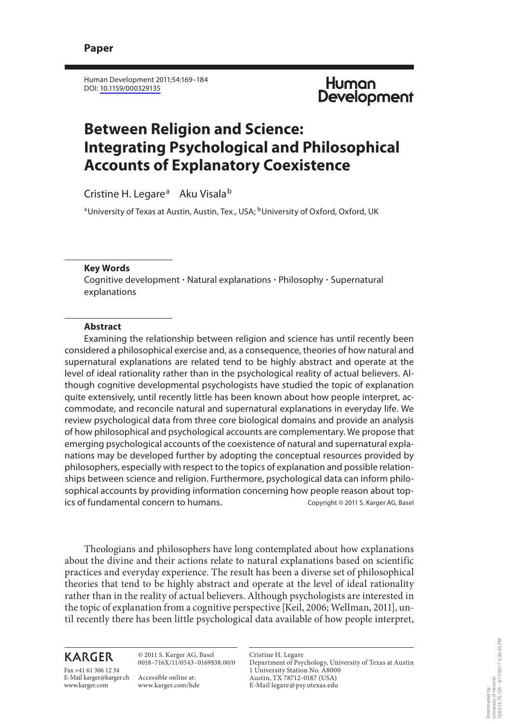Human Development 2011;54:169–184 DOI: [10.1159/000329135](http://dx.doi.org/10.1159%2F000329135)

Human<br>Development

# **Between Religion and Science: Integrating Psychological and Philosophical Accounts of Explanatory Coexistence**

Cristine H. Legare<sup>a</sup> Aku Visala<sup>b</sup>

<sup>a</sup> University of Texas at Austin, Austin, Tex., USA; <sup>b</sup> University of Oxford, Oxford, UK

#### **Key Words**

Cognitive development  $\cdot$  Natural explanations  $\cdot$  Philosophy  $\cdot$  Supernatural explanations

#### **Abstract**

 Examining the relationship between religion and science has until recently been considered a philosophical exercise and, as a consequence, theories of how natural and supernatural explanations are related tend to be highly abstract and operate at the level of ideal rationality rather than in the psychological reality of actual believers. Although cognitive developmental psychologists have studied the topic of explanation quite extensively, until recently little has been known about how people interpret, accommodate, and reconcile natural and supernatural explanations in everyday life. We review psychological data from three core biological domains and provide an analysis of how philosophical and psychological accounts are complementary. We propose that emerging psychological accounts of the coexistence of natural and supernatural explanations may be developed further by adopting the conceptual resources provided by philosophers, especially with respect to the topics of explanation and possible relationships between science and religion. Furthermore, psychological data can inform philosophical accounts by providing information concerning how people reason about topics of fundamental concern to humans. Copyright © 2011 S. Karger AG, Basel

 Theologians and philosophers have long contemplated about how explanations about the divine and their actions relate to natural explanations based on scientific practices and everyday experience. The result has been a diverse set of philosophical theories that tend to be highly abstract and operate at the level of ideal rationality rather than in the reality of actual believers. Although psychologists are interested in the topic of explanation from a cognitive perspective [Keil, 2006; Wellman, 2011], until recently there has been little psychological data available of how people interpret,

# KARGER

 © 2011 S. Karger AG, Basel 0018–716X/11/0543–0169\$38.00/0

E-Mail karger@karger.ch Accessible online at: Fax +41 61 306 12 34 www.karger.com

www.karger.com/hde

 Cristine H. Legare Department of Psychology, University of Texas at Austin 1 University Station No. A8000 Austin, TX 78712-0187 (USA) E-Mail legare @ psy.utexas.edu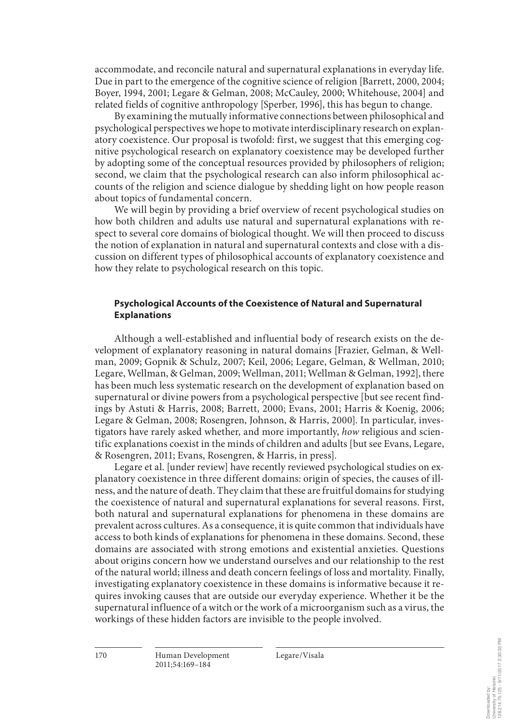accommodate, and reconcile natural and supernatural explanations in everyday life. Due in part to the emergence of the cognitive science of religion [Barrett, 2000, 2004; Boyer, 1994, 2001; Legare & Gelman, 2008; McCauley, 2000; Whitehouse, 2004] and related fields of cognitive anthropology [Sperber, 1996], this has begun to change.

 By examining the mutually informative connections between philosophical and psychological perspectives we hope to motivate interdisciplinary research on explanatory coexistence. Our proposal is twofold: first, we suggest that this emerging cognitive psychological research on explanatory coexistence may be developed further by adopting some of the conceptual resources provided by philosophers of religion; second, we claim that the psychological research can also inform philosophical accounts of the religion and science dialogue by shedding light on how people reason about topics of fundamental concern.

 We will begin by providing a brief overview of recent psychological studies on how both children and adults use natural and supernatural explanations with respect to several core domains of biological thought. We will then proceed to discuss the notion of explanation in natural and supernatural contexts and close with a discussion on different types of philosophical accounts of explanatory coexistence and how they relate to psychological research on this topic.

# **Psychological Accounts of the Coexistence of Natural and Supernatural Explanations**

 Although a well-established and influential body of research exists on the development of explanatory reasoning in natural domains [Frazier, Gelman, & Wellman, 2009; Gopnik & Schulz, 2007; Keil, 2006; Legare, Gelman, & Wellman, 2010; Legare, Wellman, & Gelman, 2009; Wellman, 2011; Wellman & Gelman, 1992], there has been much less systematic research on the development of explanation based on supernatural or divine powers from a psychological perspective [but see recent findings by Astuti & Harris, 2008; Barrett, 2000; Evans, 2001; Harris & Koenig, 2006; Legare & Gelman, 2008; Rosengren, Johnson, & Harris, 2000]. In particular, investigators have rarely asked whether, and more importantly, *how* religious and scientific explanations coexist in the minds of children and adults [but see Evans, Legare, & Rosengren, 2011; Evans, Rosengren, & Harris, in press].

 Legare et al. [under review] have recently reviewed psychological studies on explanatory coexistence in three different domains: origin of species, the causes of illness, and the nature of death. They claim that these are fruitful domains for studying the coexistence of natural and supernatural explanations for several reasons. First, both natural and supernatural explanations for phenomena in these domains are prevalent across cultures. As a consequence, it is quite common that individuals have access to both kinds of explanations for phenomena in these domains. Second, these domains are associated with strong emotions and existential anxieties. Questions about origins concern how we understand ourselves and our relationship to the rest of the natural world; illness and death concern feelings of loss and mortality. Finally, investigating explanatory coexistence in these domains is informative because it requires invoking causes that are outside our everyday experience. Whether it be the supernatural influence of a witch or the work of a microorganism such as a virus, the workings of these hidden factors are invisible to the people involved.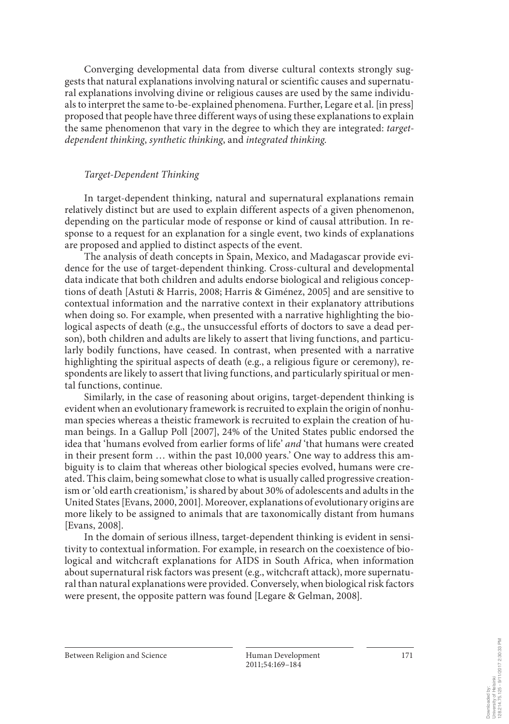Converging developmental data from diverse cultural contexts strongly suggests that natural explanations involving natural or scientific causes and supernatural explanations involving divine or religious causes are used by the same individuals to interpret the same to-be-explained phenomena. Further, Legare et al. [in press] proposed that people have three different ways of using these explanations to explain the same phenomenon that vary in the degree to which they are integrated: *targetdependent thinking*, *synthetic thinking* , and *integrated thinking* .

## *Target-Dependent Thinking*

 In target-dependent thinking, natural and supernatural explanations remain relatively distinct but are used to explain different aspects of a given phenomenon, depending on the particular mode of response or kind of causal attribution. In response to a request for an explanation for a single event, two kinds of explanations are proposed and applied to distinct aspects of the event.

 The analysis of death concepts in Spain, Mexico, and Madagascar provide evidence for the use of target-dependent thinking. Cross-cultural and developmental data indicate that both children and adults endorse biological and religious conceptions of death [Astuti & Harris, 2008; Harris & Giménez, 2005] and are sensitive to contextual information and the narrative context in their explanatory attributions when doing so. For example, when presented with a narrative highlighting the biological aspects of death (e.g., the unsuccessful efforts of doctors to save a dead person), both children and adults are likely to assert that living functions, and particularly bodily functions, have ceased. In contrast, when presented with a narrative highlighting the spiritual aspects of death (e.g., a religious figure or ceremony), respondents are likely to assert that living functions, and particularly spiritual or mental functions, continue.

 Similarly, in the case of reasoning about origins, target-dependent thinking is evident when an evolutionary framework is recruited to explain the origin of nonhuman species whereas a theistic framework is recruited to explain the creation of human beings. In a Gallup Poll [2007], 24% of the United States public endorsed the idea that 'humans evolved from earlier forms of life' *and* 'that humans were created in their present form … within the past 10,000 years.' One way to address this ambiguity is to claim that whereas other biological species evolved, humans were created. This claim, being somewhat close to what is usually called progressive creationism or 'old earth creationism,' is shared by about 30% of adolescents and adults in the United States [Evans, 2000, 2001]. Moreover, explanations of evolutionary origins are more likely to be assigned to animals that are taxonomically distant from humans [Evans, 2008].

 In the domain of serious illness, target-dependent thinking is evident in sensitivity to contextual information. For example, in research on the coexistence of biological and witchcraft explanations for AIDS in South Africa, when information about supernatural risk factors was present (e.g., witchcraft attack), more supernatural than natural explanations were provided. Conversely, when biological risk factors were present, the opposite pattern was found [Legare & Gelman, 2008].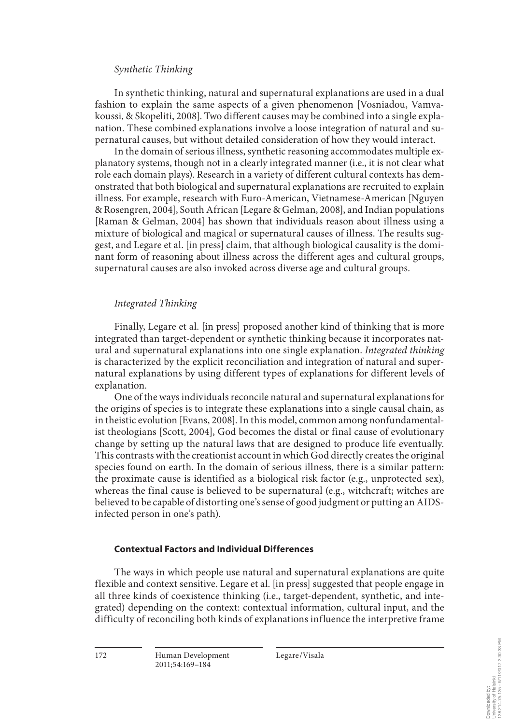# *Synthetic Thinking*

 In synthetic thinking, natural and supernatural explanations are used in a dual fashion to explain the same aspects of a given phenomenon [Vosniadou, Vamvakoussi, & Skopeliti, 2008]. Two different causes may be combined into a single explanation. These combined explanations involve a loose integration of natural and supernatural causes, but without detailed consideration of how they would interact.

 In the domain of serious illness, synthetic reasoning accommodates multiple explanatory systems, though not in a clearly integrated manner (i.e., it is not clear what role each domain plays). Research in a variety of different cultural contexts has demonstrated that both biological and supernatural explanations are recruited to explain illness. For example, research with Euro-American, Vietnamese-American [Nguyen & Rosengren, 2004], South African [Legare & Gelman, 2008], and Indian populations [Raman & Gelman, 2004] has shown that individuals reason about illness using a mixture of biological and magical or supernatural causes of illness. The results suggest, and Legare et al. [in press] claim, that although biological causality is the dominant form of reasoning about illness across the different ages and cultural groups, supernatural causes are also invoked across diverse age and cultural groups.

# *Integrated Thinking*

 Finally, Legare et al. [in press] proposed another kind of thinking that is more integrated than target-dependent or synthetic thinking because it incorporates natural and supernatural explanations into one single explanation. *Integrated thinking* is characterized by the explicit reconciliation and integration of natural and supernatural explanations by using different types of explanations for different levels of explanation.

 One of the ways individuals reconcile natural and supernatural explanations for the origins of species is to integrate these explanations into a single causal chain, as in theistic evolution [Evans, 2008]. In this model, common among nonfundamentalist theologians [Scott, 2004], God becomes the distal or final cause of evolutionary change by setting up the natural laws that are designed to produce life eventually. This contrasts with the creationist account in which God directly creates the original species found on earth. In the domain of serious illness, there is a similar pattern: the proximate cause is identified as a biological risk factor (e.g., unprotected sex), whereas the final cause is believed to be supernatural (e.g., witchcraft; witches are believed to be capable of distorting one's sense of good judgment or putting an AIDSinfected person in one's path).

# **Contextual Factors and Individual Differences**

 The ways in which people use natural and supernatural explanations are quite flexible and context sensitive. Legare et al. [in press] suggested that people engage in all three kinds of coexistence thinking (i.e., target-dependent, synthetic, and integrated) depending on the context: contextual information, cultural input, and the difficulty of reconciling both kinds of explanations influence the interpretive frame

University of Helsinki<br>128.214.75.125 - 9/11/2017 2:30:33 PM 128.214.75.125 - 9/11/2017 2:30:33 PMUniversity of Helsinki Downloaded by: Downloaded by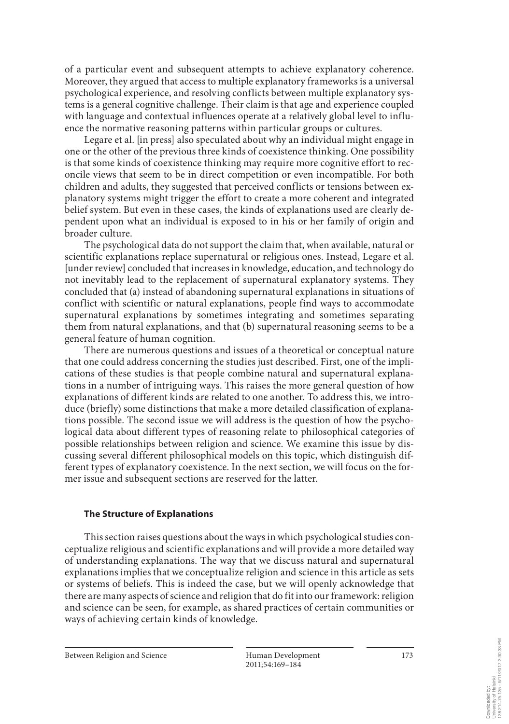of a particular event and subsequent attempts to achieve explanatory coherence. Moreover, they argued that access to multiple explanatory frameworks is a universal psychological experience, and resolving conflicts between multiple explanatory systems is a general cognitive challenge. Their claim is that age and experience coupled with language and contextual influences operate at a relatively global level to influence the normative reasoning patterns within particular groups or cultures.

 Legare et al. [in press] also speculated about why an individual might engage in one or the other of the previous three kinds of coexistence thinking. One possibility is that some kinds of coexistence thinking may require more cognitive effort to reconcile views that seem to be in direct competition or even incompatible. For both children and adults, they suggested that perceived conflicts or tensions between explanatory systems might trigger the effort to create a more coherent and integrated belief system. But even in these cases, the kinds of explanations used are clearly dependent upon what an individual is exposed to in his or her family of origin and broader culture.

 The psychological data do not support the claim that, when available, natural or scientific explanations replace supernatural or religious ones. Instead, Legare et al. [under review] concluded that increases in knowledge, education, and technology do not inevitably lead to the replacement of supernatural explanatory systems. They concluded that (a) instead of abandoning supernatural explanations in situations of conflict with scientific or natural explanations, people find ways to accommodate supernatural explanations by sometimes integrating and sometimes separating them from natural explanations, and that (b) supernatural reasoning seems to be a general feature of human cognition.

 There are numerous questions and issues of a theoretical or conceptual nature that one could address concerning the studies just described. First, one of the implications of these studies is that people combine natural and supernatural explanations in a number of intriguing ways. This raises the more general question of how explanations of different kinds are related to one another. To address this, we introduce (briefly) some distinctions that make a more detailed classification of explanations possible. The second issue we will address is the question of how the psychological data about different types of reasoning relate to philosophical categories of possible relationships between religion and science. We examine this issue by discussing several different philosophical models on this topic, which distinguish different types of explanatory coexistence. In the next section, we will focus on the former issue and subsequent sections are reserved for the latter.

#### **The Structure of Explanations**

 This section raises questions about the ways in which psychological studies conceptualize religious and scientific explanations and will provide a more detailed way of understanding explanations. The way that we discuss natural and supernatural explanations implies that we conceptualize religion and science in this article as sets or systems of beliefs. This is indeed the case, but we will openly acknowledge that there are many aspects of science and religion that do fit into our framework: religion and science can be seen, for example, as shared practices of certain communities or ways of achieving certain kinds of knowledge.

Between Religion and Science **Human Development** 173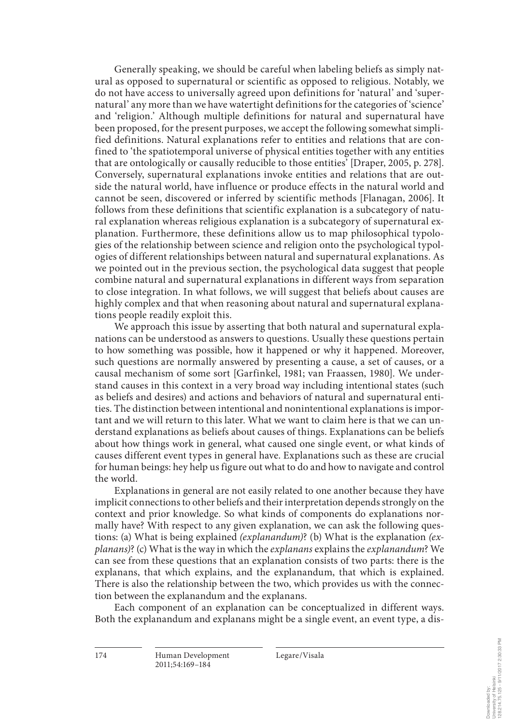Generally speaking, we should be careful when labeling beliefs as simply natural as opposed to supernatural or scientific as opposed to religious. Notably, we do not have access to universally agreed upon definitions for 'natural' and 'supernatural' any more than we have watertight definitions for the categories of 'science' and 'religion.' Although multiple definitions for natural and supernatural have been proposed, for the present purposes, we accept the following somewhat simplified definitions. Natural explanations refer to entities and relations that are confined to 'the spatiotemporal universe of physical entities together with any entities that are ontologically or causally reducible to those entities' [Draper, 2005, p. 278]. Conversely, supernatural explanations invoke entities and relations that are outside the natural world, have influence or produce effects in the natural world and cannot be seen, discovered or inferred by scientific methods [Flanagan, 2006]. It follows from these definitions that scientific explanation is a subcategory of natural explanation whereas religious explanation is a subcategory of supernatural explanation. Furthermore, these definitions allow us to map philosophical typologies of the relationship between science and religion onto the psychological typologies of different relationships between natural and supernatural explanations. As we pointed out in the previous section, the psychological data suggest that people combine natural and supernatural explanations in different ways from separation to close integration. In what follows, we will suggest that beliefs about causes are highly complex and that when reasoning about natural and supernatural explanations people readily exploit this.

 We approach this issue by asserting that both natural and supernatural explanations can be understood as answers to questions. Usually these questions pertain to how something was possible, how it happened or why it happened. Moreover, such questions are normally answered by presenting a cause, a set of causes, or a causal mechanism of some sort [Garfinkel, 1981; van Fraassen, 1980]. We understand causes in this context in a very broad way including intentional states (such as beliefs and desires) and actions and behaviors of natural and supernatural entities. The distinction between intentional and nonintentional explanations is important and we will return to this later. What we want to claim here is that we can understand explanations as beliefs about causes of things. Explanations can be beliefs about how things work in general, what caused one single event, or what kinds of causes different event types in general have. Explanations such as these are crucial for human beings: hey help us figure out what to do and how to navigate and control the world.

 Explanations in general are not easily related to one another because they have implicit connections to other beliefs and their interpretation depends strongly on the context and prior knowledge. So what kinds of components do explanations normally have? With respect to any given explanation, we can ask the following questions: (a) What is being explained *(explanandum)*? (b) What is the explanation *(explanans)*? (c) What is the way in which the *explanans* explains the *explanandum*? We can see from these questions that an explanation consists of two parts: there is the explanans, that which explains, and the explanandum, that which is explained. There is also the relationship between the two, which provides us with the connection between the explanandum and the explanans.

 Each component of an explanation can be conceptualized in different ways. Both the explanandum and explanans might be a single event, an event type, a dis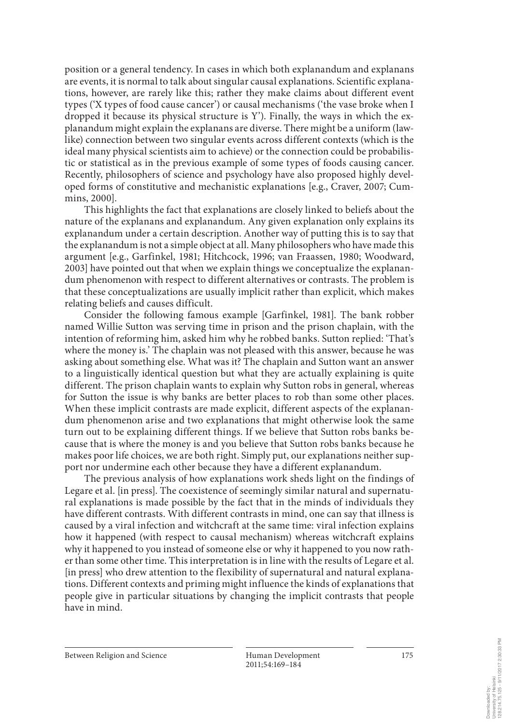position or a general tendency. In cases in which both explanandum and explanans are events, it is normal to talk about singular causal explanations. Scientific explanations, however, are rarely like this; rather they make claims about different event types ('X types of food cause cancer') or causal mechanisms ('the vase broke when I dropped it because its physical structure is  $Y'$ ). Finally, the ways in which the explanandum might explain the explanans are diverse. There might be a uniform (lawlike) connection between two singular events across different contexts (which is the ideal many physical scientists aim to achieve) or the connection could be probabilistic or statistical as in the previous example of some types of foods causing cancer. Recently, philosophers of science and psychology have also proposed highly developed forms of constitutive and mechanistic explanations [e.g., Craver, 2007; Cummins, 2000].

 This highlights the fact that explanations are closely linked to beliefs about the nature of the explanans and explanandum. Any given explanation only explains its explanandum under a certain description. Another way of putting this is to say that the explanandum is not a simple object at all. Many philosophers who have made this argument [e.g., Garfinkel, 1981; Hitchcock, 1996; van Fraassen, 1980; Woodward, 2003] have pointed out that when we explain things we conceptualize the explanandum phenomenon with respect to different alternatives or contrasts. The problem is that these conceptualizations are usually implicit rather than explicit, which makes relating beliefs and causes difficult.

 Consider the following famous example [Garfinkel, 1981]. The bank robber named Willie Sutton was serving time in prison and the prison chaplain, with the intention of reforming him, asked him why he robbed banks. Sutton replied: 'That's where the money is.' The chaplain was not pleased with this answer, because he was asking about something else. What was it? The chaplain and Sutton want an answer to a linguistically identical question but what they are actually explaining is quite different. The prison chaplain wants to explain why Sutton robs in general, whereas for Sutton the issue is why banks are better places to rob than some other places. When these implicit contrasts are made explicit, different aspects of the explanandum phenomenon arise and two explanations that might otherwise look the same turn out to be explaining different things. If we believe that Sutton robs banks because that is where the money is and you believe that Sutton robs banks because he makes poor life choices, we are both right. Simply put, our explanations neither support nor undermine each other because they have a different explanandum.

 The previous analysis of how explanations work sheds light on the findings of Legare et al. [in press]. The coexistence of seemingly similar natural and supernatural explanations is made possible by the fact that in the minds of individuals they have different contrasts. With different contrasts in mind, one can say that illness is caused by a viral infection and witchcraft at the same time: viral infection explains how it happened (with respect to causal mechanism) whereas witchcraft explains why it happened to you instead of someone else or why it happened to you now rather than some other time. This interpretation is in line with the results of Legare et al. [in press] who drew attention to the flexibility of supernatural and natural explanations. Different contexts and priming might influence the kinds of explanations that people give in particular situations by changing the implicit contrasts that people have in mind.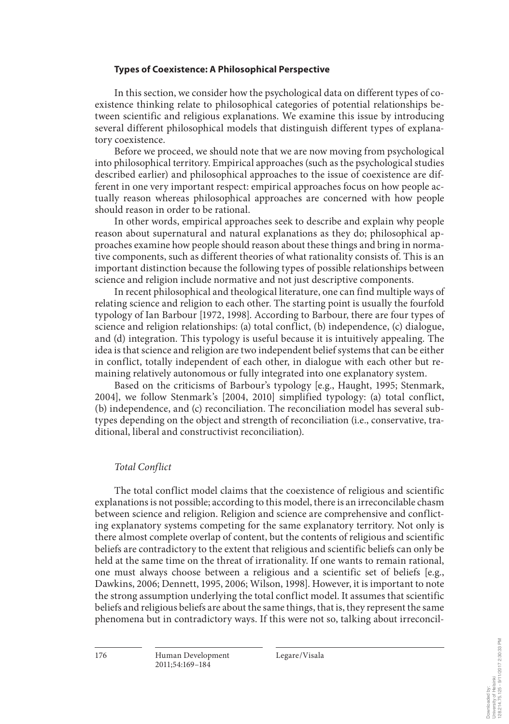#### **Types of Coexistence: A Philosophical Perspective**

 In this section, we consider how the psychological data on different types of coexistence thinking relate to philosophical categories of potential relationships between scientific and religious explanations. We examine this issue by introducing several different philosophical models that distinguish different types of explanatory coexistence.

 Before we proceed, we should note that we are now moving from psychological into philosophical territory. Empirical approaches (such as the psychological studies described earlier) and philosophical approaches to the issue of coexistence are different in one very important respect: empirical approaches focus on how people actually reason whereas philosophical approaches are concerned with how people should reason in order to be rational.

 In other words, empirical approaches seek to describe and explain why people reason about supernatural and natural explanations as they do; philosophical approaches examine how people should reason about these things and bring in normative components, such as different theories of what rationality consists of. This is an important distinction because the following types of possible relationships between science and religion include normative and not just descriptive components.

 In recent philosophical and theological literature, one can find multiple ways of relating science and religion to each other. The starting point is usually the fourfold typology of Ian Barbour [1972, 1998]. According to Barbour, there are four types of science and religion relationships: (a) total conflict, (b) independence, (c) dialogue, and (d) integration. This typology is useful because it is intuitively appealing. The idea is that science and religion are two independent belief systems that can be either in conflict, totally independent of each other, in dialogue with each other but remaining relatively autonomous or fully integrated into one explanatory system.

 Based on the criticisms of Barbour's typology [e.g., Haught, 1995; Stenmark, 2004], we follow Stenmark's [2004, 2010] simplified typology: (a) total conflict, (b) independence, and (c) reconciliation. The reconciliation model has several subtypes depending on the object and strength of reconciliation (i.e., conservative, traditional, liberal and constructivist reconciliation).

# *Total Conflict*

 The total conflict model claims that the coexistence of religious and scientific explanations is not possible; according to this model, there is an irreconcilable chasm between science and religion. Religion and science are comprehensive and conflicting explanatory systems competing for the same explanatory territory. Not only is there almost complete overlap of content, but the contents of religious and scientific beliefs are contradictory to the extent that religious and scientific beliefs can only be held at the same time on the threat of irrationality. If one wants to remain rational, one must always choose between a religious and a scientific set of beliefs [e.g., Dawkins, 2006; Dennett, 1995, 2006; Wilson, 1998]. However, it is important to note the strong assumption underlying the total conflict model. It assumes that scientific beliefs and religious beliefs are about the same things, that is, they represent the same phenomena but in contradictory ways. If this were not so, talking about irreconcil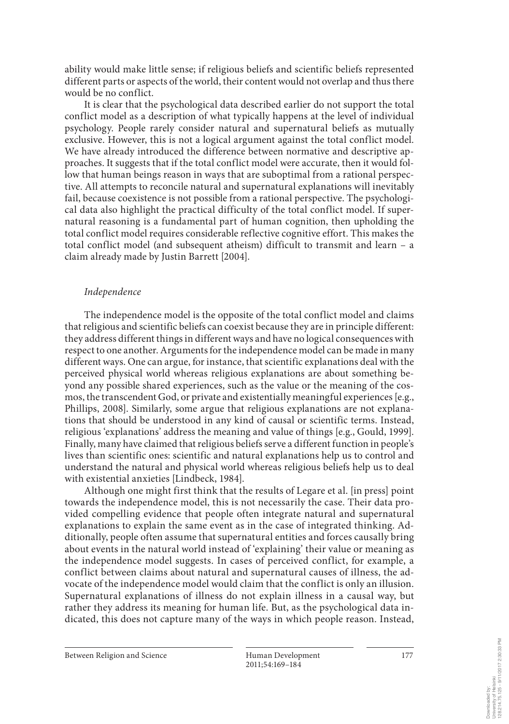ability would make little sense; if religious beliefs and scientific beliefs represented different parts or aspects of the world, their content would not overlap and thus there would be no conflict.

 It is clear that the psychological data described earlier do not support the total conflict model as a description of what typically happens at the level of individual psychology. People rarely consider natural and supernatural beliefs as mutually exclusive. However, this is not a logical argument against the total conflict model. We have already introduced the difference between normative and descriptive approaches. It suggests that if the total conflict model were accurate, then it would follow that human beings reason in ways that are suboptimal from a rational perspective. All attempts to reconcile natural and supernatural explanations will inevitably fail, because coexistence is not possible from a rational perspective. The psychological data also highlight the practical difficulty of the total conflict model. If supernatural reasoning is a fundamental part of human cognition, then upholding the total conflict model requires considerable reflective cognitive effort. This makes the total conflict model (and subsequent atheism) difficult to transmit and learn – a claim already made by Justin Barrett [2004].

#### *Independence*

 The independence model is the opposite of the total conflict model and claims that religious and scientific beliefs can coexist because they are in principle different: they address different things in different ways and have no logical consequences with respect to one another. Arguments for the independence model can be made in many different ways. One can argue, for instance, that scientific explanations deal with the perceived physical world whereas religious explanations are about something beyond any possible shared experiences, such as the value or the meaning of the cosmos, the transcendent God, or private and existentially meaningful experiences [e.g., Phillips, 2008]. Similarly, some argue that religious explanations are not explanations that should be understood in any kind of causal or scientific terms. Instead, religious 'explanations' address the meaning and value of things [e.g., Gould, 1999]. Finally, many have claimed that religious beliefs serve a different function in people's lives than scientific ones: scientific and natural explanations help us to control and understand the natural and physical world whereas religious beliefs help us to deal with existential anxieties [Lindbeck, 1984].

 Although one might first think that the results of Legare et al. [in press] point towards the independence model, this is not necessarily the case. Their data provided compelling evidence that people often integrate natural and supernatural explanations to explain the same event as in the case of integrated thinking. Additionally, people often assume that supernatural entities and forces causally bring about events in the natural world instead of 'explaining' their value or meaning as the independence model suggests. In cases of perceived conflict, for example, a conflict between claims about natural and supernatural causes of illness, the advocate of the independence model would claim that the conflict is only an illusion. Supernatural explanations of illness do not explain illness in a causal way, but rather they address its meaning for human life. But, as the psychological data indicated, this does not capture many of the ways in which people reason. Instead,

Between Religion and Science **Human Development** 177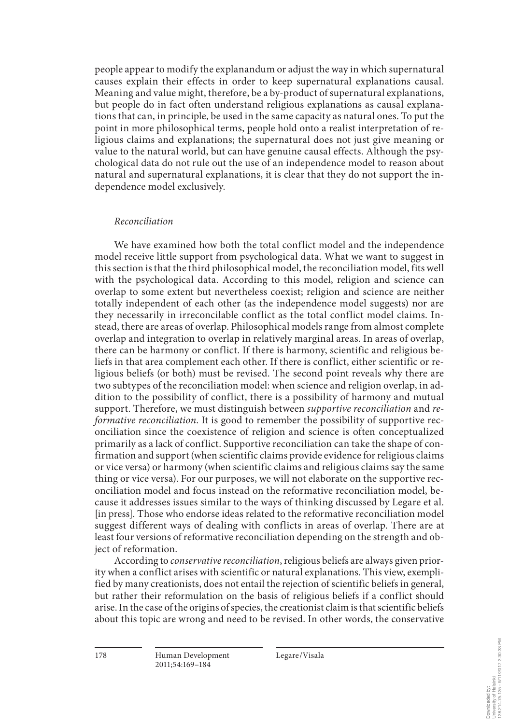people appear to modify the explanandum or adjust the way in which supernatural causes explain their effects in order to keep supernatural explanations causal. Meaning and value might, therefore, be a by-product of supernatural explanations, but people do in fact often understand religious explanations as causal explanations that can, in principle, be used in the same capacity as natural ones. To put the point in more philosophical terms, people hold onto a realist interpretation of religious claims and explanations; the supernatural does not just give meaning or value to the natural world, but can have genuine causal effects. Although the psychological data do not rule out the use of an independence model to reason about natural and supernatural explanations, it is clear that they do not support the independence model exclusively.

#### *Reconciliation*

 We have examined how both the total conflict model and the independence model receive little support from psychological data. What we want to suggest in this section is that the third philosophical model, the reconciliation model, fits well with the psychological data. According to this model, religion and science can overlap to some extent but nevertheless coexist; religion and science are neither totally independent of each other (as the independence model suggests) nor are they necessarily in irreconcilable conflict as the total conflict model claims. Instead, there are areas of overlap. Philosophical models range from almost complete overlap and integration to overlap in relatively marginal areas. In areas of overlap, there can be harmony or conflict. If there is harmony, scientific and religious beliefs in that area complement each other. If there is conflict, either scientific or religious beliefs (or both) must be revised. The second point reveals why there are two subtypes of the reconciliation model: when science and religion overlap, in addition to the possibility of conflict, there is a possibility of harmony and mutual support. Therefore, we must distinguish between *supportive reconciliation* and *reformative reconciliation*. It is good to remember the possibility of supportive reconciliation since the coexistence of religion and science is often conceptualized primarily as a lack of conflict. Supportive reconciliation can take the shape of confirmation and support (when scientific claims provide evidence for religious claims or vice versa) or harmony (when scientific claims and religious claims say the same thing or vice versa). For our purposes, we will not elaborate on the supportive reconciliation model and focus instead on the reformative reconciliation model, because it addresses issues similar to the ways of thinking discussed by Legare et al. [in press]. Those who endorse ideas related to the reformative reconciliation model suggest different ways of dealing with conflicts in areas of overlap. There are at least four versions of reformative reconciliation depending on the strength and object of reformation.

 According to *conservative reconciliation*, religious beliefs are always given priority when a conflict arises with scientific or natural explanations. This view, exemplified by many creationists, does not entail the rejection of scientific beliefs in general, but rather their reformulation on the basis of religious beliefs if a conflict should arise. In the case of the origins of species, the creationist claim is that scientific beliefs about this topic are wrong and need to be revised. In other words, the conservative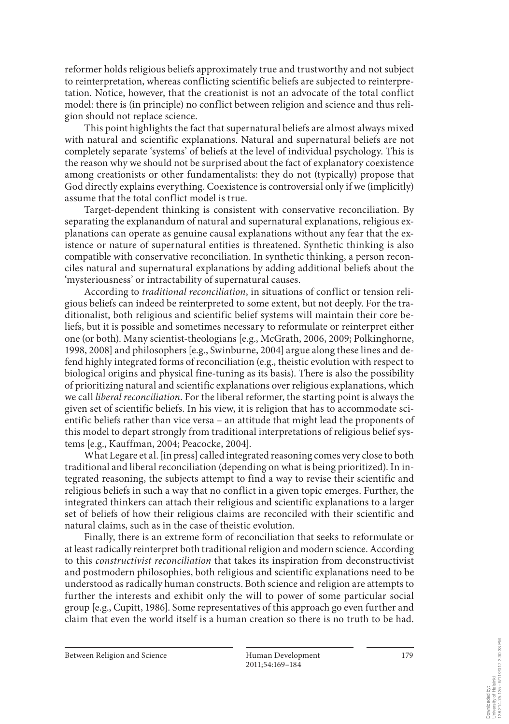reformer holds religious beliefs approximately true and trustworthy and not subject to reinterpretation, whereas conflicting scientific beliefs are subjected to reinterpretation. Notice, however, that the creationist is not an advocate of the total conflict model: there is (in principle) no conflict between religion and science and thus religion should not replace science.

 This point highlights the fact that supernatural beliefs are almost always mixed with natural and scientific explanations. Natural and supernatural beliefs are not completely separate 'systems' of beliefs at the level of individual psychology. This is the reason why we should not be surprised about the fact of explanatory coexistence among creationists or other fundamentalists: they do not (typically) propose that God directly explains everything. Coexistence is controversial only if we (implicitly) assume that the total conflict model is true.

 Target-dependent thinking is consistent with conservative reconciliation. By separating the explanandum of natural and supernatural explanations, religious explanations can operate as genuine causal explanations without any fear that the existence or nature of supernatural entities is threatened. Synthetic thinking is also compatible with conservative reconciliation. In synthetic thinking, a person reconciles natural and supernatural explanations by adding additional beliefs about the 'mysteriousness' or intractability of supernatural causes.

 According to *traditional reconciliation*, in situations of conflict or tension religious beliefs can indeed be reinterpreted to some extent, but not deeply. For the traditionalist, both religious and scientific belief systems will maintain their core beliefs, but it is possible and sometimes necessary to reformulate or reinterpret either one (or both). Many scientist-theologians [e.g., McGrath, 2006, 2009; Polkinghorne, 1998, 2008] and philosophers [e.g., Swinburne, 2004] argue along these lines and defend highly integrated forms of reconciliation (e.g., theistic evolution with respect to biological origins and physical fine-tuning as its basis). There is also the possibility of prioritizing natural and scientific explanations over religious explanations, which we call *liberal reconciliation* . For the liberal reformer, the starting point is always the given set of scientific beliefs. In his view, it is religion that has to accommodate scientific beliefs rather than vice versa – an attitude that might lead the proponents of this model to depart strongly from traditional interpretations of religious belief systems [e.g., Kauffman, 2004; Peacocke, 2004].

 What Legare et al. [in press] called integrated reasoning comes very close to both traditional and liberal reconciliation (depending on what is being prioritized). In integrated reasoning, the subjects attempt to find a way to revise their scientific and religious beliefs in such a way that no conflict in a given topic emerges. Further, the integrated thinkers can attach their religious and scientific explanations to a larger set of beliefs of how their religious claims are reconciled with their scientific and natural claims, such as in the case of theistic evolution.

 Finally, there is an extreme form of reconciliation that seeks to reformulate or at least radically reinterpret both traditional religion and modern science. According to this *constructivist reconciliation* that takes its inspiration from deconstructivist and postmodern philosophies, both religious and scientific explanations need to be understood as radically human constructs. Both science and religion are attempts to further the interests and exhibit only the will to power of some particular social group [e.g., Cupitt, 1986]. Some representatives of this approach go even further and claim that even the world itself is a human creation so there is no truth to be had.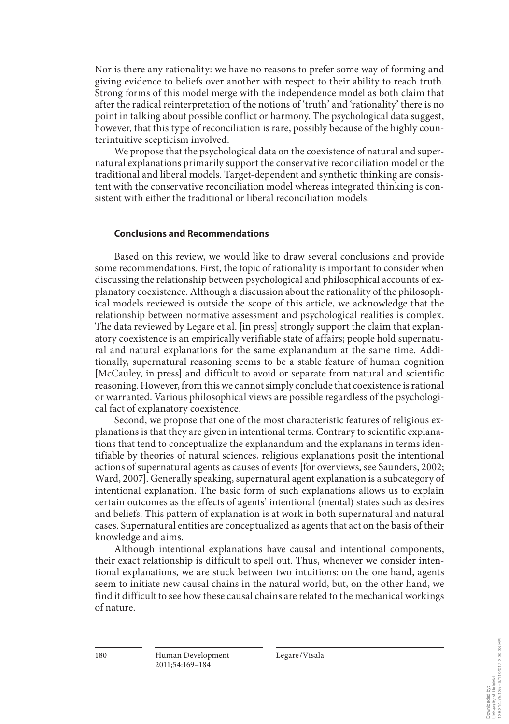Nor is there any rationality: we have no reasons to prefer some way of forming and giving evidence to beliefs over another with respect to their ability to reach truth. Strong forms of this model merge with the independence model as both claim that after the radical reinterpretation of the notions of 'truth' and 'rationality' there is no point in talking about possible conflict or harmony. The psychological data suggest, however, that this type of reconciliation is rare, possibly because of the highly counterintuitive scepticism involved.

 We propose that the psychological data on the coexistence of natural and supernatural explanations primarily support the conservative reconciliation model or the traditional and liberal models. Target-dependent and synthetic thinking are consistent with the conservative reconciliation model whereas integrated thinking is consistent with either the traditional or liberal reconciliation models.

#### **Conclusions and Recommendations**

 Based on this review, we would like to draw several conclusions and provide some recommendations. First, the topic of rationality is important to consider when discussing the relationship between psychological and philosophical accounts of explanatory coexistence. Although a discussion about the rationality of the philosophical models reviewed is outside the scope of this article, we acknowledge that the relationship between normative assessment and psychological realities is complex. The data reviewed by Legare et al. [in press] strongly support the claim that explanatory coexistence is an empirically verifiable state of affairs; people hold supernatural and natural explanations for the same explanandum at the same time. Additionally, supernatural reasoning seems to be a stable feature of human cognition [McCauley, in press] and difficult to avoid or separate from natural and scientific reasoning. However, from this we cannot simply conclude that coexistence is rational or warranted. Various philosophical views are possible regardless of the psychological fact of explanatory coexistence.

 Second, we propose that one of the most characteristic features of religious explanations is that they are given in intentional terms. Contrary to scientific explanations that tend to conceptualize the explanandum and the explanans in terms identifiable by theories of natural sciences, religious explanations posit the intentional actions of supernatural agents as causes of events [for overviews, see Saunders, 2002; Ward, 2007]. Generally speaking, supernatural agent explanation is a subcategory of intentional explanation. The basic form of such explanations allows us to explain certain outcomes as the effects of agents' intentional (mental) states such as desires and beliefs. This pattern of explanation is at work in both supernatural and natural cases. Supernatural entities are conceptualized as agents that act on the basis of their knowledge and aims.

 Although intentional explanations have causal and intentional components, their exact relationship is difficult to spell out. Thus, whenever we consider intentional explanations, we are stuck between two intuitions: on the one hand, agents seem to initiate new causal chains in the natural world, but, on the other hand, we find it difficult to see how these causal chains are related to the mechanical workings of nature.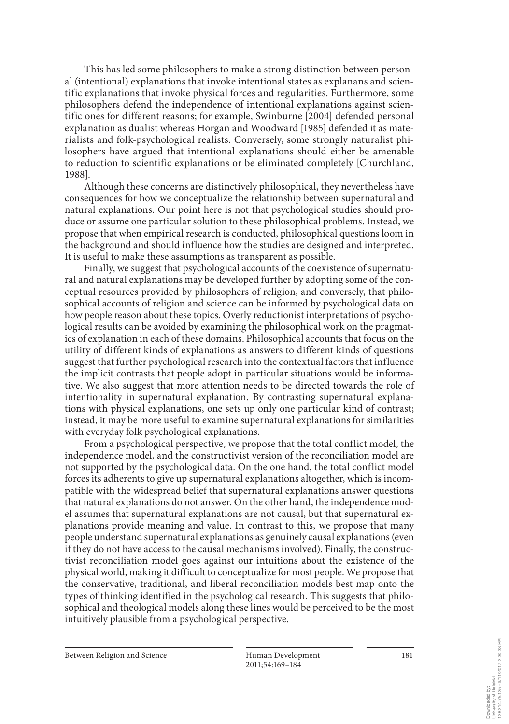This has led some philosophers to make a strong distinction between personal (intentional) explanations that invoke intentional states as explanans and scientific explanations that invoke physical forces and regularities. Furthermore, some philosophers defend the independence of intentional explanations against scientific ones for different reasons; for example, Swinburne [2004] defended personal explanation as dualist whereas Horgan and Woodward [1985] defended it as materialists and folk-psychological realists. Conversely, some strongly naturalist philosophers have argued that intentional explanations should either be amenable to reduction to scientific explanations or be eliminated completely [Churchland, 1988].

 Although these concerns are distinctively philosophical, they nevertheless have consequences for how we conceptualize the relationship between supernatural and natural explanations. Our point here is not that psychological studies should produce or assume one particular solution to these philosophical problems. Instead, we propose that when empirical research is conducted, philosophical questions loom in the background and should influence how the studies are designed and interpreted. It is useful to make these assumptions as transparent as possible.

 Finally, we suggest that psychological accounts of the coexistence of supernatural and natural explanations may be developed further by adopting some of the conceptual resources provided by philosophers of religion, and conversely, that philosophical accounts of religion and science can be informed by psychological data on how people reason about these topics. Overly reductionist interpretations of psychological results can be avoided by examining the philosophical work on the pragmatics of explanation in each of these domains. Philosophical accounts that focus on the utility of different kinds of explanations as answers to different kinds of questions suggest that further psychological research into the contextual factors that influence the implicit contrasts that people adopt in particular situations would be informative. We also suggest that more attention needs to be directed towards the role of intentionality in supernatural explanation. By contrasting supernatural explanations with physical explanations, one sets up only one particular kind of contrast; instead, it may be more useful to examine supernatural explanations for similarities with everyday folk psychological explanations.

 From a psychological perspective, we propose that the total conflict model, the independence model, and the constructivist version of the reconciliation model are not supported by the psychological data. On the one hand, the total conflict model forces its adherents to give up supernatural explanations altogether, which is incompatible with the widespread belief that supernatural explanations answer questions that natural explanations do not answer. On the other hand, the independence model assumes that supernatural explanations are not causal, but that supernatural explanations provide meaning and value. In contrast to this, we propose that many people understand supernatural explanations as genuinely causal explanations (even if they do not have access to the causal mechanisms involved). Finally, the constructivist reconciliation model goes against our intuitions about the existence of the physical world, making it difficult to conceptualize for most people. We propose that the conservative, traditional, and liberal reconciliation models best map onto the types of thinking identified in the psychological research. This suggests that philosophical and theological models along these lines would be perceived to be the most intuitively plausible from a psychological perspective.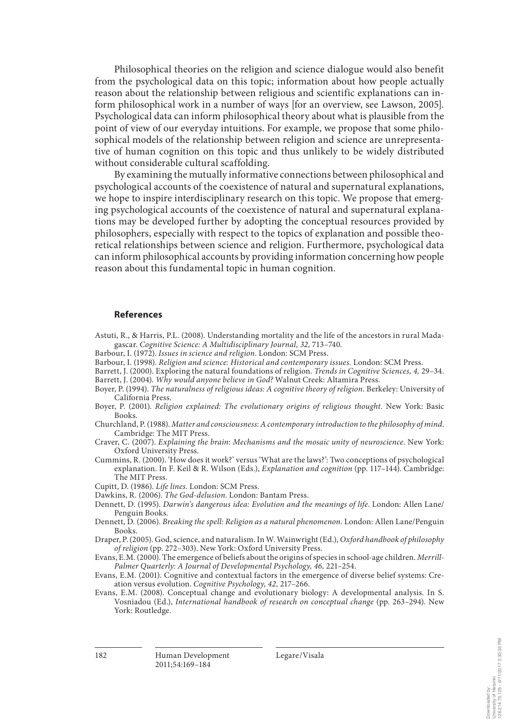Philosophical theories on the religion and science dialogue would also benefit from the psychological data on this topic; information about how people actually reason about the relationship between religious and scientific explanations can inform philosophical work in a number of ways [for an overview, see Lawson, 2005]. Psychological data can inform philosophical theory about what is plausible from the point of view of our everyday intuitions. For example, we propose that some philosophical models of the relationship between religion and science are unrepresentative of human cognition on this topic and thus unlikely to be widely distributed without considerable cultural scaffolding.

 By examining the mutually informative connections between philosophical and psychological accounts of the coexistence of natural and supernatural explanations, we hope to inspire interdisciplinary research on this topic. We propose that emerging psychological accounts of the coexistence of natural and supernatural explanations may be developed further by adopting the conceptual resources provided by philosophers, especially with respect to the topics of explanation and possible theoretical relationships between science and religion. Furthermore, psychological data can inform philosophical accounts by providing information concerning how people reason about this fundamental topic in human cognition.

#### **References**

- Astuti, R., & Harris, P.L. (2008). Understanding mortality and the life of the ancestors in rural Madagascar. *Cognitive Science: A Multidisciplinary Journal, 32,* 713–740.
- Barbour, I. (1972). *Issues in science and religion* . London: SCM Press.
- Barbour, I. (1998). *Religion and science: Historical and contemporary issues.* London: SCM Press.
- Barrett, J. (2000). Exploring the natural foundations of religion. *Trends in Cognitive Sciences, 4,* 29–34.
- Barrett, J. (2004). *Why would anyone believe in God?* Walnut Creek: Altamira Press.
- Boyer, P. (1994). *The naturalness of religious ideas: A cognitive theory of religion* . Berkeley: University of California Press.
- Boyer, P. (2001). *Religion explained: The evolutionary origins of religious thought.* New York: Basic Books.
- Churchland, P. (1988). *Matter and consciousness: A contemporary introduction to the philosophy of mind* . Cambridge: The MIT Press.
- Craver, C. (2007). *Explaining the brain* : *Mechanisms and the mosaic unity of neuroscience* . New York: Oxford University Press.
- Cummins, R. (2000). 'How does it work?' versus 'What are the laws?': Two conceptions of psychological explanation. In F. Keil & R. Wilson (Eds.), *Explanation and cognition* (pp. 117–144). Cambridge: The MIT Press.
- Cupitt, D. (1986). *Life lines* . London: SCM Press.
- Dawkins, R. (2006). *The God-delusion* . London: Bantam Press.
- Dennett, D. (1995). *Darwin's dangerous idea: Evolution and the meanings of life* . London: Allen Lane/ Penguin Books.
- Dennett, D. (2006). *Breaking the spell: Religion as a natural phenomenon* . London: Allen Lane/Penguin Books.
- Draper, P. (2005). God, science, and naturalism. In W. Wainwright (Ed.), *Oxford handbook of philosophy of religion* (pp. 272–303). New York: Oxford University Press.
- Evans, E.M. (2000). The emergence of beliefs about the origins of species in school-age children. *Merrill-*Palmer Quarterly: A Journal of Developmental Psychology, 46, 221-254.
- Evans, E.M. (2001). Cognitive and contextual factors in the emergence of diverse belief systems: Creation versus evolution. *Cognitive Psychology, 42,* 217–266.
- Evans, E.M. (2008). Conceptual change and evolutionary biology: A developmental analysis. In S. Vosniadou (Ed.), *International handbook of research on conceptual change* (pp. 263–294). New York: Routledge.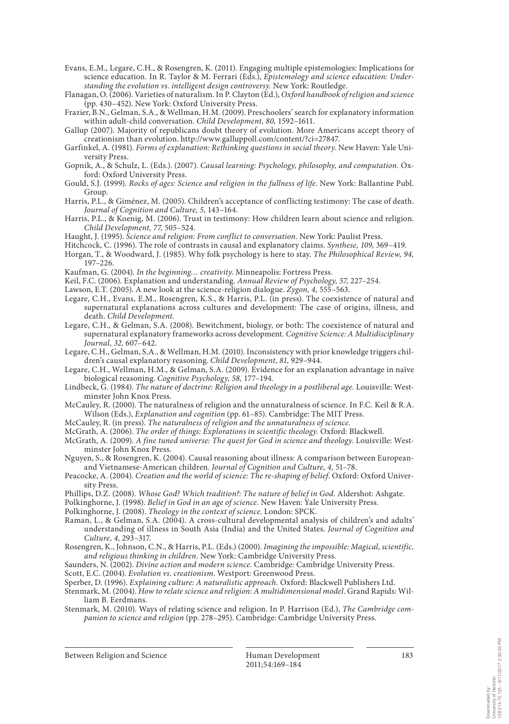- Evans, E.M., Legare, C.H., & Rosengren, K. (2011). Engaging multiple epistemologies: Implications for science education *.* In R. Taylor & M. Ferrari (Eds.), *Epistemology and science education: Understanding the evolution vs. intelligent design controversy.* New York: Routledge.
- Flanagan, O. (2006). Varieties of naturalism. In P. Clayton (Ed.), *Oxford handbook of religion and science* (pp. 430–452). New York: Oxford University Press.
- Frazier, B.N., Gelman, S.A., & Wellman, H.M. (2009). Preschoolers' search for explanatory information within adult-child conversation. *Child Development, 80,* 1592–1611.
- Gallup (2007). Majority of republicans doubt theory of evolution. More Americans accept theory of creationism than evolution. http://www.galluppoll.com/content/?ci=27847.
- Garfinkel, A. (1981). *Forms of explanation: Rethinking questions in social theory* . New Haven: Yale University Press.
- Gopnik, A., & Schulz, L. (Eds.). (2007). *Causal learning: Psychology, philosophy, and computation.* Oxford: Oxford University Press.
- Gould, S.J. (1999). *Rocks of ages: Science and religion in the fullness of life* . New York: Ballantine Publ. Group.
- Harris, P.L., & Giménez, M. (2005). Children's acceptance of conflicting testimony: The case of death. *Journal of Cognition and Culture, 5,* 143–164.
- Harris, P.L., & Koenig, M. (2006). Trust in testimony: How children learn about science and religion. *Child Development, 77,* 505–524.
- Haught, J. (1995). *Science and religion: From conflict to conversation* . New York: Paulist Press.
- Hitchcock, C. (1996). The role of contrasts in causal and explanatory claims. *Synthese, 109,* 369–419.
- Horgan, T., & Woodward, J. (1985). Why folk psychology is here to stay. *The Philosophical Review, 94,* 197–226.
- Kaufman, G. (2004). *In the beginning… creativity* . Minneapolis: Fortress Press.
- Keil, F.C. (2006). Explanation and understanding. *Annual Review of Psychology, 57,* 227–254.
- Lawson, E.T. (2005). A new look at the science-religion dialogue. *Zygon, 4,* 555–563.
- Legare, C.H., Evans, E.M., Rosengren, K.S., & Harris, P.L. (in press). The coexistence of natural and supernatural explanations across cultures and development: The case of origins, illness, and death. *Child Development* .
- Legare, C.H., & Gelman, S.A. (2008). Bewitchment, biology, or both: The coexistence of natural and supernatural explanatory frameworks across development. *Cognitive Science: A Multidisciplinary Journal, 32,* 607–642.
- Legare, C.H., Gelman, S.A., & Wellman, H.M. (2010). Inconsistency with prior knowledge triggers children's causal explanatory reasoning. *Child Development, 81,* 929–944.
- Legare, C.H., Wellman, H.M., & Gelman, S.A. (2009). Evidence for an explanation advantage in naïve biological reasoning. *Cognitive Psychology, 58,* 177–194 *.*
- Lindbeck, G. (1984). *The nature of doctrine: Religion and theology in a postliberal age* . Louisville: Westminster John Knox Press.
- McCauley, R. (2000). The naturalness of religion and the unnaturalness of science. In F.C. Keil & R.A. Wilson (Eds.), *Explanation and cognition* (pp. 61–85). Cambridge: The MIT Press.
- McCauley, R. (in press). *The naturalness of religion and the unnaturalness of science* .
- McGrath, A. (2006). *The order of things: Explorations in scientific theology.* Oxford: Blackwell.
- McGrath, A. (2009). *A fine tuned universe: The quest for God in science and theology* . Louisville: Westminster John Knox Press.
- Nguyen, S., & Rosengren, K. (2004). Causal reasoning about illness: A comparison between Europeanand Vietnamese-American children. *Journal of Cognition and Culture, 4,* 51–78.
- Peacocke, A. (2004). *Creation and the world of science: The re-shaping of belief.* Oxford: Oxford University Press.
- Phillips, D.Z. (2008). *Whose God? Which tradition?: The nature of belief in God* . Aldershot: Ashgate.
- Polkinghorne, J. (1998). *Belief in God in an age of science.* New Haven: Yale University Press.
- Polkinghorne, J. (2008). *Theology in the context of science* . London: SPCK.
- Raman, L., & Gelman, S.A. (2004). A cross-cultural developmental analysis of children's and adults' understanding of illness in South Asia (India) and the United States. *Journal of Cognition and Culture, 4,* 293–317.
- Rosengren, K., Johnson, C.N., & Harris, P.L. (Eds.) (2000). *Imagining the impossible: Magical, scientific, and religious thinking in children.* New York: Cambridge University Press.
- Saunders, N. (2002). *Divine action and modern science.* Cambridge: Cambridge University Press.
- Scott, E.C. (2004). *Evolution vs. creationism*. Westport: Greenwood Press.
- Sperber, D. (1996). *Explaining culture: A naturalistic approach.* Oxford: Blackwell Publishers Ltd.
- Stenmark, M. (2004). *How to relate science and religion: A multidimensional model* . Grand Rapids: William B. Eerdmans.
- Stenmark, M. (2010). Ways of relating science and religion. In P. Harrison (Ed.), *The Cambridge companion to science and religion* (pp. 278–295). Cambridge: Cambridge University Press.